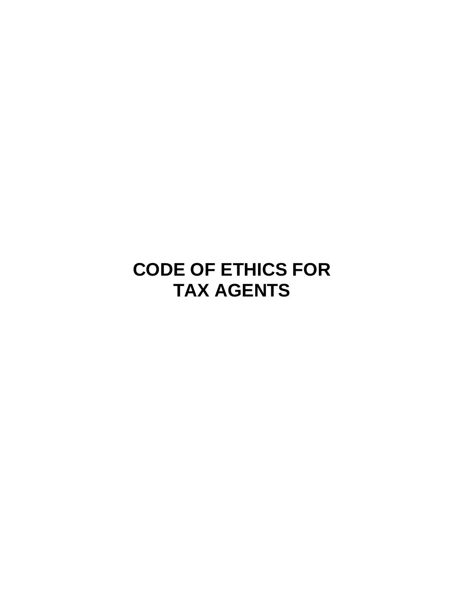# **CODE OF ETHICS FOR TAX AGENTS**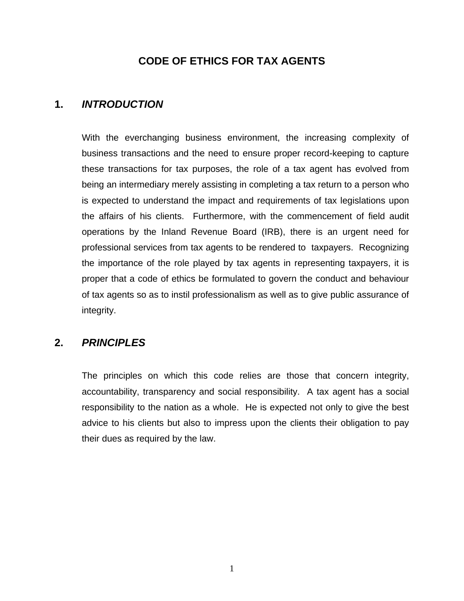# **CODE OF ETHICS FOR TAX AGENTS**

## **1.** *INTRODUCTION*

With the everchanging business environment, the increasing complexity of business transactions and the need to ensure proper record-keeping to capture these transactions for tax purposes, the role of a tax agent has evolved from being an intermediary merely assisting in completing a tax return to a person who is expected to understand the impact and requirements of tax legislations upon the affairs of his clients. Furthermore, with the commencement of field audit operations by the Inland Revenue Board (IRB), there is an urgent need for professional services from tax agents to be rendered to taxpayers. Recognizing the importance of the role played by tax agents in representing taxpayers, it is proper that a code of ethics be formulated to govern the conduct and behaviour of tax agents so as to instil professionalism as well as to give public assurance of integrity.

## **2.** *PRINCIPLES*

 The principles on which this code relies are those that concern integrity, accountability, transparency and social responsibility. A tax agent has a social responsibility to the nation as a whole. He is expected not only to give the best advice to his clients but also to impress upon the clients their obligation to pay their dues as required by the law.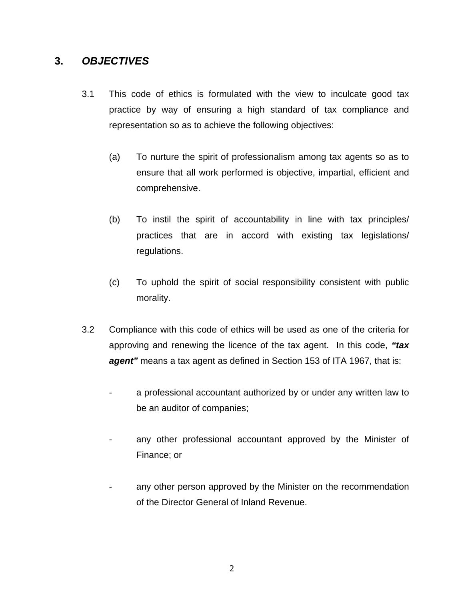# **3.** *OBJECTIVES*

- 3.1 This code of ethics is formulated with the view to inculcate good tax practice by way of ensuring a high standard of tax compliance and representation so as to achieve the following objectives:
	- (a) To nurture the spirit of professionalism among tax agents so as to ensure that all work performed is objective, impartial, efficient and comprehensive.
	- (b) To instil the spirit of accountability in line with tax principles/ practices that are in accord with existing tax legislations/ regulations.
	- (c) To uphold the spirit of social responsibility consistent with public morality.
- 3.2 Compliance with this code of ethics will be used as one of the criteria for approving and renewing the licence of the tax agent. In this code, *"tax agent"* means a tax agent as defined in Section 153 of ITA 1967, that is:
	- a professional accountant authorized by or under any written law to be an auditor of companies;
	- any other professional accountant approved by the Minister of Finance; or
	- any other person approved by the Minister on the recommendation of the Director General of Inland Revenue.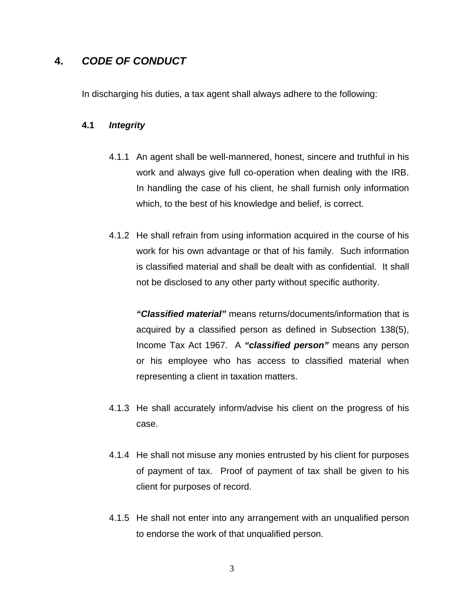# **4.** *CODE OF CONDUCT*

In discharging his duties, a tax agent shall always adhere to the following:

#### **4.1** *Integrity*

- 4.1.1 An agent shall be well-mannered, honest, sincere and truthful in his work and always give full co-operation when dealing with the IRB. In handling the case of his client, he shall furnish only information which, to the best of his knowledge and belief, is correct.
- 4.1.2 He shall refrain from using information acquired in the course of his work for his own advantage or that of his family. Such information is classified material and shall be dealt with as confidential. It shall not be disclosed to any other party without specific authority.

*"Classified material"* means returns/documents/information that is acquired by a classified person as defined in Subsection 138(5), Income Tax Act 1967. A *"classified person"* means any person or his employee who has access to classified material when representing a client in taxation matters.

- 4.1.3 He shall accurately inform/advise his client on the progress of his case.
- 4.1.4 He shall not misuse any monies entrusted by his client for purposes of payment of tax. Proof of payment of tax shall be given to his client for purposes of record.
- 4.1.5 He shall not enter into any arrangement with an unqualified person to endorse the work of that unqualified person.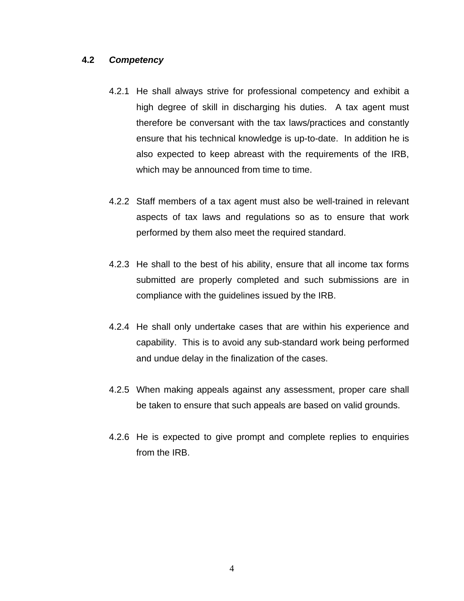#### **4.2** *Competency*

- 4.2.1 He shall always strive for professional competency and exhibit a high degree of skill in discharging his duties. A tax agent must therefore be conversant with the tax laws/practices and constantly ensure that his technical knowledge is up-to-date. In addition he is also expected to keep abreast with the requirements of the IRB, which may be announced from time to time.
- 4.2.2 Staff members of a tax agent must also be well-trained in relevant aspects of tax laws and regulations so as to ensure that work performed by them also meet the required standard.
- 4.2.3 He shall to the best of his ability, ensure that all income tax forms submitted are properly completed and such submissions are in compliance with the guidelines issued by the IRB.
- 4.2.4 He shall only undertake cases that are within his experience and capability. This is to avoid any sub-standard work being performed and undue delay in the finalization of the cases.
- 4.2.5 When making appeals against any assessment, proper care shall be taken to ensure that such appeals are based on valid grounds.
- 4.2.6 He is expected to give prompt and complete replies to enquiries from the IRB.